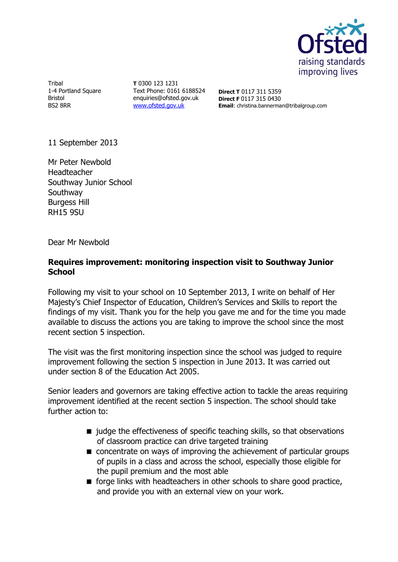

Tribal 1-4 Portland Square Bristol BS2 8RR

**T** 0300 123 1231 Text Phone: 0161 6188524 enquiries@ofsted.gov.uk [www.ofsted.gov.uk](http://www.ofsted.gov.uk/)

**Direct T** 0117 311 5359 **Direct F** 0117 315 0430 **Email**: christina.bannerman@tribalgroup.com

11 September 2013

Mr Peter Newbold Headteacher Southway Junior School Southway Burgess Hill RH15 9SU

Dear Mr Newbold

#### **Requires improvement: monitoring inspection visit to Southway Junior School**

Following my visit to your school on 10 September 2013, I write on behalf of Her Majesty's Chief Inspector of Education, Children's Services and Skills to report the findings of my visit. Thank you for the help you gave me and for the time you made available to discuss the actions you are taking to improve the school since the most recent section 5 inspection.

The visit was the first monitoring inspection since the school was judged to require improvement following the section 5 inspection in June 2013. It was carried out under section 8 of the Education Act 2005.

Senior leaders and governors are taking effective action to tackle the areas requiring improvement identified at the recent section 5 inspection. The school should take further action to:

- $\blacksquare$  judge the effectiveness of specific teaching skills, so that observations of classroom practice can drive targeted training
- concentrate on ways of improving the achievement of particular groups of pupils in a class and across the school, especially those eligible for the pupil premium and the most able
- $\blacksquare$  forge links with headteachers in other schools to share good practice, and provide you with an external view on your work.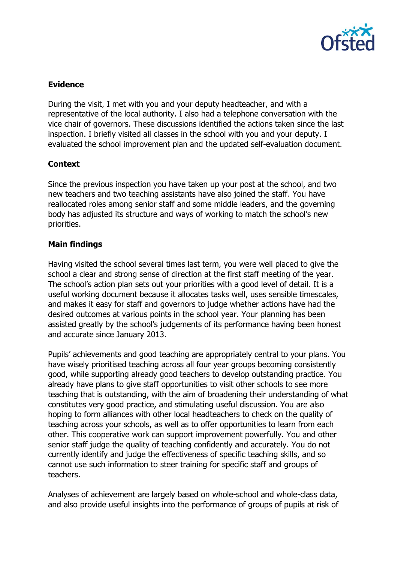

# **Evidence**

During the visit, I met with you and your deputy headteacher, and with a representative of the local authority. I also had a telephone conversation with the vice chair of governors. These discussions identified the actions taken since the last inspection. I briefly visited all classes in the school with you and your deputy. I evaluated the school improvement plan and the updated self-evaluation document.

## **Context**

Since the previous inspection you have taken up your post at the school, and two new teachers and two teaching assistants have also joined the staff. You have reallocated roles among senior staff and some middle leaders, and the governing body has adjusted its structure and ways of working to match the school's new priorities.

## **Main findings**

Having visited the school several times last term, you were well placed to give the school a clear and strong sense of direction at the first staff meeting of the year. The school's action plan sets out your priorities with a good level of detail. It is a useful working document because it allocates tasks well, uses sensible timescales, and makes it easy for staff and governors to judge whether actions have had the desired outcomes at various points in the school year. Your planning has been assisted greatly by the school's judgements of its performance having been honest and accurate since January 2013.

Pupils' achievements and good teaching are appropriately central to your plans. You have wisely prioritised teaching across all four year groups becoming consistently good, while supporting already good teachers to develop outstanding practice. You already have plans to give staff opportunities to visit other schools to see more teaching that is outstanding, with the aim of broadening their understanding of what constitutes very good practice, and stimulating useful discussion. You are also hoping to form alliances with other local headteachers to check on the quality of teaching across your schools, as well as to offer opportunities to learn from each other. This cooperative work can support improvement powerfully. You and other senior staff judge the quality of teaching confidently and accurately. You do not currently identify and judge the effectiveness of specific teaching skills, and so cannot use such information to steer training for specific staff and groups of teachers.

Analyses of achievement are largely based on whole-school and whole-class data, and also provide useful insights into the performance of groups of pupils at risk of